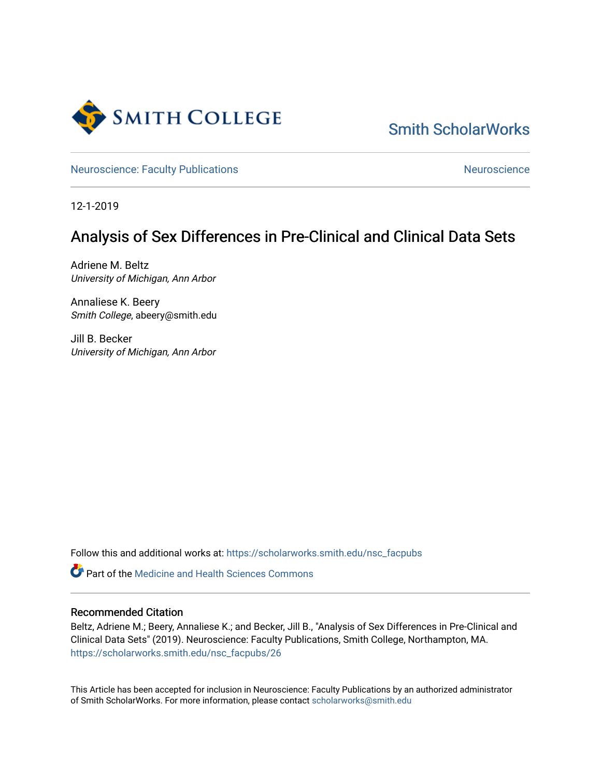

[Smith ScholarWorks](https://scholarworks.smith.edu/) 

[Neuroscience: Faculty Publications](https://scholarworks.smith.edu/nsc_facpubs) [Neuroscience](https://scholarworks.smith.edu/nsc) Neuroscience

12-1-2019

# Analysis of Sex Differences in Pre-Clinical and Clinical Data Sets

Adriene M. Beltz University of Michigan, Ann Arbor

Annaliese K. Beery Smith College, abeery@smith.edu

Jill B. Becker University of Michigan, Ann Arbor

Follow this and additional works at: [https://scholarworks.smith.edu/nsc\\_facpubs](https://scholarworks.smith.edu/nsc_facpubs?utm_source=scholarworks.smith.edu%2Fnsc_facpubs%2F26&utm_medium=PDF&utm_campaign=PDFCoverPages)

**C** Part of the Medicine and Health Sciences Commons

## Recommended Citation

Beltz, Adriene M.; Beery, Annaliese K.; and Becker, Jill B., "Analysis of Sex Differences in Pre-Clinical and Clinical Data Sets" (2019). Neuroscience: Faculty Publications, Smith College, Northampton, MA. [https://scholarworks.smith.edu/nsc\\_facpubs/26](https://scholarworks.smith.edu/nsc_facpubs/26?utm_source=scholarworks.smith.edu%2Fnsc_facpubs%2F26&utm_medium=PDF&utm_campaign=PDFCoverPages) 

This Article has been accepted for inclusion in Neuroscience: Faculty Publications by an authorized administrator of Smith ScholarWorks. For more information, please contact [scholarworks@smith.edu](mailto:scholarworks@smith.edu)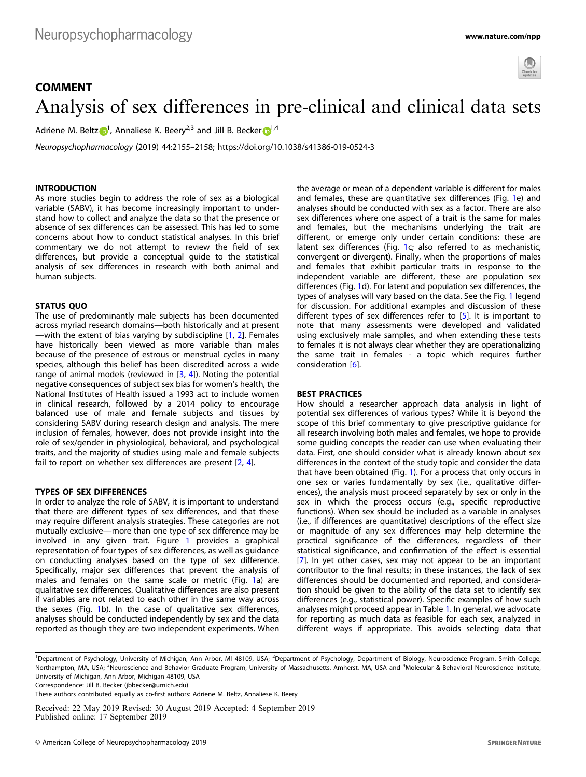

# COMMENT Analysis of sex differences in pre-clinical and clinical data sets

Ad[r](http://orcid.org/0000-0003-3880-6408)iene M. Beltz $\bigcirc$ <sup>[1](http://orcid.org/0000-0003-3880-6408)</sup>, Annaliese K. Beery<sup>2,3</sup> and Jill B. Becker  $\bigcirc^{1,4}$ 

Neuropsychopharmacology (2019) 44:2155–2158; https://doi.org/10.1038/s41386-019-0524-3

### INTRODUCTION

As more studies begin to address the role of sex as a biological variable (SABV), it has become increasingly important to understand how to collect and analyze the data so that the presence or absence of sex differences can be assessed. This has led to some concerns about how to conduct statistical analyses. In this brief commentary we do not attempt to review the field of sex differences, but provide a conceptual guide to the statistical analysis of sex differences in research with both animal and human subjects.

#### STATUS QUO

The use of predominantly male subjects has been documented across myriad research domains—both historically and at present —with the extent of bias varying by subdiscipline  $[1, 2]$  $[1, 2]$  $[1, 2]$ . Females have historically been viewed as more variable than males because of the presence of estrous or menstrual cycles in many species, although this belief has been discredited across a wide range of animal models (reviewed in [\[3,](#page-4-0) [4](#page-4-0)]). Noting the potential negative consequences of subject sex bias for women's health, the National Institutes of Health issued a 1993 act to include women in clinical research, followed by a 2014 policy to encourage balanced use of male and female subjects and tissues by considering SABV during research design and analysis. The mere inclusion of females, however, does not provide insight into the role of sex/gender in physiological, behavioral, and psychological traits, and the majority of studies using male and female subjects fail to report on whether sex differences are present [\[2,](#page-4-0) [4](#page-4-0)].

#### TYPES OF SEX DIFFERENCES

In order to analyze the role of SABV, it is important to understand that there are different types of sex differences, and that these may require different analysis strategies. These categories are not mutually exclusive—more than one type of sex difference may be involved in any given trait. Figure [1](#page-2-0) provides a graphical representation of four types of sex differences, as well as guidance on conducting analyses based on the type of sex difference. Specifically, major sex differences that prevent the analysis of males and females on the same scale or metric (Fig. [1a](#page-2-0)) are qualitative sex differences. Qualitative differences are also present if variables are not related to each other in the same way across the sexes (Fig. [1](#page-2-0)b). In the case of qualitative sex differences, analyses should be conducted independently by sex and the data reported as though they are two independent experiments. When

the average or mean of a dependent variable is different for males and females, these are quantitative sex differences (Fig. [1](#page-2-0)e) and analyses should be conducted with sex as a factor. There are also sex differences where one aspect of a trait is the same for males and females, but the mechanisms underlying the trait are different, or emerge only under certain conditions: these are latent sex differences (Fig. [1c](#page-2-0); also referred to as mechanistic, convergent or divergent). Finally, when the proportions of males and females that exhibit particular traits in response to the independent variable are different, these are population sex differences (Fig. [1d](#page-2-0)). For latent and population sex differences, the types of analyses will vary based on the data. See the Fig. [1](#page-2-0) legend for discussion. For additional examples and discussion of these different types of sex differences refer to [[5](#page-4-0)]. It is important to note that many assessments were developed and validated using exclusively male samples, and when extending these tests to females it is not always clear whether they are operationalizing the same trait in females - a topic which requires further consideration [\[6\]](#page-4-0).

#### BEST PRACTICES

How should a researcher approach data analysis in light of potential sex differences of various types? While it is beyond the scope of this brief commentary to give prescriptive guidance for all research involving both males and females, we hope to provide some guiding concepts the reader can use when evaluating their data. First, one should consider what is already known about sex differences in the context of the study topic and consider the data that have been obtained (Fig. [1\)](#page-2-0). For a process that only occurs in one sex or varies fundamentally by sex (i.e., qualitative differences), the analysis must proceed separately by sex or only in the sex in which the process occurs (e.g., specific reproductive functions). When sex should be included as a variable in analyses (i.e., if differences are quantitative) descriptions of the effect size or magnitude of any sex differences may help determine the practical significance of the differences, regardless of their statistical significance, and confirmation of the effect is essential [\[7\]](#page-4-0). In yet other cases, sex may not appear to be an important contributor to the final results; in these instances, the lack of sex differences should be documented and reported, and consideration should be given to the ability of the data set to identify sex differences (e.g., statistical power). Specific examples of how such analyses might proceed appear in Table [1](#page-2-0). In general, we advocate for reporting as much data as feasible for each sex, analyzed in different ways if appropriate. This avoids selecting data that

<sup>1</sup>Department of Psychology, University of Michigan, Ann Arbor, MI 48109, USA; <sup>2</sup>Department of Psychology, Department of Biology, Neuroscience Program, Smith College, Northampton, MA, USA; <sup>3</sup>Neuroscience and Behavior Graduate Program, University of Massachusetts, Amherst, MA, USA and <sup>4</sup>Molecular & Behavioral Neuroscience Institute, University of Michigan, Ann Arbor, Michigan 48109, USA

Correspondence: Jill B. Becker [\(jbbecker@umich.edu\)](mailto:jbbecker@umich.edu)

These authors contributed equally as co-first authors: Adriene M. Beltz, Annaliese K. Beery

Received: 22 May 2019 Revised: 30 August 2019 Accepted: 4 September 2019 Published online: 17 September 2019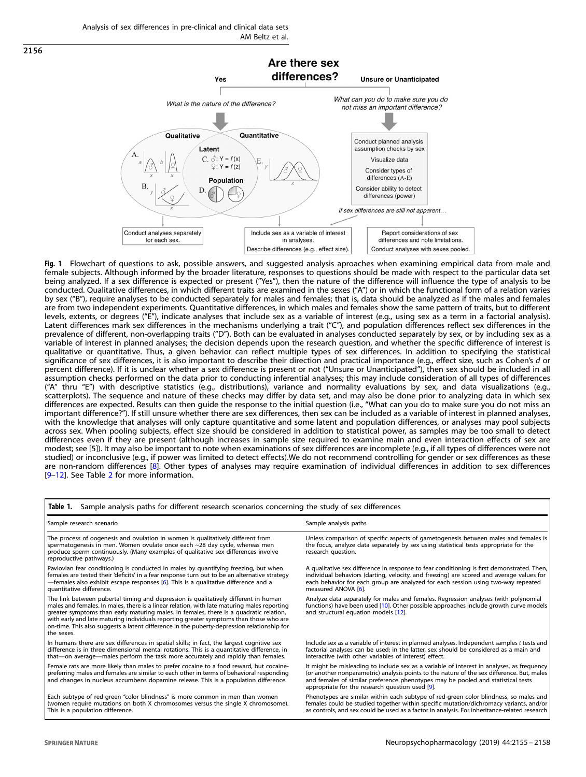

**Fig. 1** Flowchart of questions to ask, possible answers, and suggested analysis aproaches when examining empirical data from male and<br>female subjects. Although informed by the broader literature, responses to questions sh being analyzed. If a sex difference is expected or present ("Yes"), then the nature of the difference will influence the type of analysis to be conducted. Qualitative differences, in which different traits are examined in the sexes ("A") or in which the functional form of a relation varies by sex ("B"), require analyses to be conducted separately for males and females; that is, data should be analyzed as if the males and females are from two independent experiments. Quantitative differences, in which males and females show the same pattern of traits, but to different levels, extents, or degrees ("E"), indicate analyses that include sex as a variable of interest (e.g., using sex as a term in a factorial analysis). Latent differences mark sex differences in the mechanisms underlying a trait ("C"), and population differences reflect sex differences in the prevalence of different, non-overlapping traits ("D"). Both can be evaluated in analyses conducted separately by sex, or by including sex as a variable of interest in planned analyses; the decision depends upon the research question, and whether the specific difference of interest is qualitative or quantitative. Thus, a given behavior can reflect multiple types of sex differences. In addition to specifying the statistical significance of sex differences, it is also important to describe their direction and practical importance (e.g., effect size, such as Cohen's d or percent difference). If it is unclear whether a sex difference is present or not ("Unsure or Unanticipated"), then sex should be included in all assumption checks performed on the data prior to conducting inferential analyses; this may include consideration of all types of differences ("A" thru "E") with descriptive statistics (e.g., distributions), variance and normality evaluations by sex, and data visualizations (e.g., scatterplots). The sequence and nature of these checks may differ by data set, and may also be done prior to analyzing data in which sex differences are expected. Results can then guide the response to the initial question (i.e., "What can you do to make sure you do not miss an important difference?"). If still unsure whether there are sex differences, then sex can be included as a variable of interest in planned analyses, with the knowledge that analyses will only capture quantitative and some latent and population differences, or analyses may pool subjects across sex. When pooling subjects, effect size should be considered in addition to statistical power, as samples may be too small to detect differences even if they are present (although increases in sample size required to examine main and even interaction effects of sex are modest; see [5]). It may also be important to note when examinations of sex differences are incomplete (e.g., if all types of differences were not studied) or inconclusive (e.g., if power was limited to detect effects).We do not recommend controlling for gender or sex differences as these are non-random differences [[8](#page-4-0)]. Other types of analyses may require examination of individual differences in addition to sex differences [[9](#page-4-0)–[12](#page-4-0)]. See Table [2](#page-3-0) for more information.

| Sample research scenario                                                                                                                                                                                                                                                                                                                                                                                                                                                           | Sample analysis paths                                                                                                                                                                                                                                                                                                          |
|------------------------------------------------------------------------------------------------------------------------------------------------------------------------------------------------------------------------------------------------------------------------------------------------------------------------------------------------------------------------------------------------------------------------------------------------------------------------------------|--------------------------------------------------------------------------------------------------------------------------------------------------------------------------------------------------------------------------------------------------------------------------------------------------------------------------------|
| The process of oogenesis and ovulation in women is qualitatively different from<br>spermatogenesis in men. Women ovulate once each ~28 day cycle, whereas men<br>produce sperm continuously. (Many examples of qualitative sex differences involve<br>reproductive pathways.)                                                                                                                                                                                                      | Unless comparison of specific aspects of gametogenesis between males and females is<br>the focus, analyze data separately by sex using statistical tests appropriate for the<br>research question.                                                                                                                             |
| Pavlovian fear conditioning is conducted in males by quantifying freezing, but when<br>females are tested their 'deficits' in a fear response turn out to be an alternative strategy<br>-females also exhibit escape responses $[6]$ . This is a qualitative difference and a<br>quantitative difference.                                                                                                                                                                          | A qualitative sex difference in response to fear conditioning is first demonstrated. Then,<br>individual behaviors (darting, velocity, and freezing) are scored and average values for<br>each behavior for each group are analyzed for each session using two-way repeated<br>measured ANOVA [6].                             |
| The link between pubertal timing and depression is qualitatively different in human<br>males and females. In males, there is a linear relation, with late maturing males reporting<br>greater symptoms than early maturing males. In females, there is a quadratic relation,<br>with early and late maturing individuals reporting greater symptoms than those who are<br>on-time. This also suggests a latent difference in the puberty-depression relationship for<br>the sexes. | Analyze data separately for males and females. Regression analyses (with polynomial<br>functions) have been used [10]. Other possible approaches include growth curve models<br>and structural equation models [12].                                                                                                           |
| In humans there are sex differences in spatial skills; in fact, the largest cognitive sex<br>difference is in three dimensional mental rotations. This is a quantitative difference, in<br>that—on average—males perform the task more accurately and rapidly than females.                                                                                                                                                                                                        | Include sex as a variable of interest in planned analyses. Independent samples t tests and<br>factorial analyses can be used; in the latter, sex should be considered as a main and<br>interactive (with other variables of interest) effect.                                                                                  |
| Female rats are more likely than males to prefer cocaine to a food reward, but cocaine-<br>preferring males and females are similar to each other in terms of behavioral responding<br>and changes in nucleus accumbens dopamine release. This is a population difference.                                                                                                                                                                                                         | It might be misleading to include sex as a variable of interest in analyses, as frequency<br>(or another nonparametric) analysis points to the nature of the sex difference. But, males<br>and females of similar preference phenotypes may be pooled and statistical tests<br>appropriate for the research question used [9]. |
| Each subtype of red-green "color blindness" is more common in men than women<br>(women require mutations on both X chromosomes versus the single X chromosome).<br>This is a population difference.                                                                                                                                                                                                                                                                                | Phenotypes are similar within each subtype of red-green color blindness, so males and<br>females could be studied together within specific mutation/dichromacy variants, and/or<br>as controls, and sex could be used as a factor in analysis. For inheritance-related research                                                |

<span id="page-2-0"></span>2156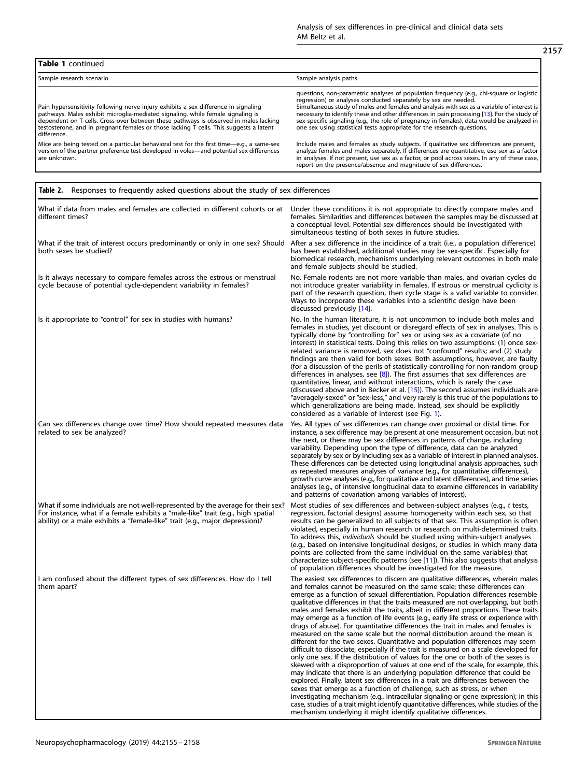<span id="page-3-0"></span>

| Table 1 continued                                                                                                                                                                                                                                                                                                                                                       |                                                                                                                                                                                                                                                                                                                                                                                                                                                                                                                                                                                                                                                                                                                                                                                                                                                                                                                                                                                                                                                                                                                                                                                                                                                                                                                                                                                                                                                                                                                                      |
|-------------------------------------------------------------------------------------------------------------------------------------------------------------------------------------------------------------------------------------------------------------------------------------------------------------------------------------------------------------------------|--------------------------------------------------------------------------------------------------------------------------------------------------------------------------------------------------------------------------------------------------------------------------------------------------------------------------------------------------------------------------------------------------------------------------------------------------------------------------------------------------------------------------------------------------------------------------------------------------------------------------------------------------------------------------------------------------------------------------------------------------------------------------------------------------------------------------------------------------------------------------------------------------------------------------------------------------------------------------------------------------------------------------------------------------------------------------------------------------------------------------------------------------------------------------------------------------------------------------------------------------------------------------------------------------------------------------------------------------------------------------------------------------------------------------------------------------------------------------------------------------------------------------------------|
| Sample research scenario                                                                                                                                                                                                                                                                                                                                                | Sample analysis paths                                                                                                                                                                                                                                                                                                                                                                                                                                                                                                                                                                                                                                                                                                                                                                                                                                                                                                                                                                                                                                                                                                                                                                                                                                                                                                                                                                                                                                                                                                                |
| Pain hypersensitivity following nerve injury exhibits a sex difference in signaling<br>pathways. Males exhibit microglia-mediated signaling, while female signaling is<br>dependent on T cells. Cross-over between these pathways is observed in males lacking<br>testosterone, and in pregnant females or those lacking T cells. This suggests a latent<br>difference. | questions, non-parametric analyses of population frequency (e.g., chi-square or logistic<br>regression) or analyses conducted separately by sex are needed.<br>Simultaneous study of males and females and analysis with sex as a variable of interest is<br>necessary to identify these and other differences in pain processing [13]. For the study of<br>sex-specific signaling (e.g., the role of pregnancy in females), data would be analyzed in<br>one sex using statistical tests appropriate for the research questions.                                                                                                                                                                                                                                                                                                                                                                                                                                                                                                                                                                                                                                                                                                                                                                                                                                                                                                                                                                                                    |
| Mice are being tested on a particular behavioral test for the first time—e.g., a same-sex<br>version of the partner preference test developed in voles—and potential sex differences<br>are unknown.                                                                                                                                                                    | Include males and females as study subjects. If qualitative sex differences are present,<br>analyze females and males separately. If differences are quantitative, use sex as a factor<br>in analyses. If not present, use sex as a factor, or pool across sexes. In any of these case,<br>report on the presence/absence and magnitude of sex differences.                                                                                                                                                                                                                                                                                                                                                                                                                                                                                                                                                                                                                                                                                                                                                                                                                                                                                                                                                                                                                                                                                                                                                                          |
| Table 2. Responses to frequently asked questions about the study of sex differences                                                                                                                                                                                                                                                                                     |                                                                                                                                                                                                                                                                                                                                                                                                                                                                                                                                                                                                                                                                                                                                                                                                                                                                                                                                                                                                                                                                                                                                                                                                                                                                                                                                                                                                                                                                                                                                      |
| What if data from males and females are collected in different cohorts or at<br>different times?                                                                                                                                                                                                                                                                        | Under these conditions it is not appropriate to directly compare males and<br>females. Similarities and differences between the samples may be discussed at<br>a conceptual level. Potential sex differences should be investigated with<br>simultaneous testing of both sexes in future studies.                                                                                                                                                                                                                                                                                                                                                                                                                                                                                                                                                                                                                                                                                                                                                                                                                                                                                                                                                                                                                                                                                                                                                                                                                                    |
| What if the trait of interest occurs predominantly or only in one sex? Should<br>both sexes be studied?                                                                                                                                                                                                                                                                 | After a sex difference in the incidince of a trait (i.e., a population difference)<br>has been established, additional studies may be sex-specific. Especially for<br>biomedical research, mechanisms underlying relevant outcomes in both male<br>and female subjects should be studied.                                                                                                                                                                                                                                                                                                                                                                                                                                                                                                                                                                                                                                                                                                                                                                                                                                                                                                                                                                                                                                                                                                                                                                                                                                            |
| Is it always necessary to compare females across the estrous or menstrual<br>cycle because of potential cycle-dependent variability in females?                                                                                                                                                                                                                         | No. Female rodents are not more variable than males, and ovarian cycles do<br>not introduce greater variability in females. If estrous or menstrual cyclicity is<br>part of the research question, then cycle stage is a valid variable to consider.<br>Ways to incorporate these variables into a scientific design have been<br>discussed previously [14].                                                                                                                                                                                                                                                                                                                                                                                                                                                                                                                                                                                                                                                                                                                                                                                                                                                                                                                                                                                                                                                                                                                                                                         |
| Is it appropriate to "control" for sex in studies with humans?                                                                                                                                                                                                                                                                                                          | No. In the human literature, it is not uncommon to include both males and<br>females in studies, yet discount or disregard effects of sex in analyses. This is<br>typically done by "controlling for" sex or using sex as a covariate (of no<br>interest) in statistical tests. Doing this relies on two assumptions: (1) once sex-<br>related variance is removed, sex does not "confound" results; and (2) study<br>findings are then valid for both sexes. Both assumptions, however, are faulty<br>(for a discussion of the perils of statistically controlling for non-random group<br>differences in analyses, see [8]). The first assumes that sex differences are<br>quantitative, linear, and without interactions, which is rarely the case<br>(discussed above and in Becker et al. [15]). The second assumes individuals are<br>"averagely-sexed" or "sex-less," and very rarely is this true of the populations to<br>which generalizations are being made. Instead, sex should be explicitly<br>considered as a variable of interest (see Fig. 1).                                                                                                                                                                                                                                                                                                                                                                                                                                                                     |
| Can sex differences change over time? How should repeated measures data<br>related to sex be analyzed?                                                                                                                                                                                                                                                                  | Yes. All types of sex differences can change over proximal or distal time. For<br>instance, a sex difference may be present at one measurement occasion, but not<br>the next, or there may be sex differences in patterns of change, including<br>variability. Depending upon the type of difference, data can be analyzed<br>separately by sex or by including sex as a variable of interest in planned analyses.<br>These differences can be detected using longitudinal analysis approaches, such<br>as repeated measures analyses of variance (e.g., for quantitative differences),<br>growth curve analyses (e.g., for qualitative and latent differences), and time series<br>analyses (e.g., of intensive longitudinal data to examine differences in variability<br>and patterns of covariation among variables of interest).                                                                                                                                                                                                                                                                                                                                                                                                                                                                                                                                                                                                                                                                                                |
| What if some individuals are not well-represented by the average for their sex?<br>For instance, what if a female exhibits a "male-like" trait (e.g., high spatial<br>ability) or a male exhibits a "female-like" trait (e.g., major depression)?                                                                                                                       | Most studies of sex differences and between-subject analyses (e.g., t tests,<br>regression, factorial designs) assume homogeneity within each sex, so that<br>results can be generalized to all subjects of that sex. This assumption is often<br>violated, especially in human research or research on multi-determined traits.<br>To address this, individuals should be studied using within-subject analyses<br>(e.g., based on intensive longitudinal designs, or studies in which many data<br>points are collected from the same individual on the same variables) that<br>characterize subject-specific patterns (see [11]). This also suggests that analysis<br>of population differences should be investigated for the measure.                                                                                                                                                                                                                                                                                                                                                                                                                                                                                                                                                                                                                                                                                                                                                                                           |
| I am confused about the different types of sex differences. How do I tell<br>them apart?                                                                                                                                                                                                                                                                                | The easiest sex differences to discern are qualitative differences, wherein males<br>and females cannot be measured on the same scale; these differences can<br>emerge as a function of sexual differentiation. Population differences resemble<br>qualitative differences in that the traits measured are not overlapping, but both<br>males and females exhibit the traits, albeit in different proportions. These traits<br>may emerge as a function of life events (e.g., early life stress or experience with<br>drugs of abuse). For quantitative differences the trait in males and females is<br>measured on the same scale but the normal distribution around the mean is<br>different for the two sexes. Quantitative and population differences may seem<br>difficult to dissociate, especially if the trait is measured on a scale developed for<br>only one sex. If the distribution of values for the one or both of the sexes is<br>skewed with a disproportion of values at one end of the scale, for example, this<br>may indicate that there is an underlying population difference that could be<br>explored. Finally, latent sex differences in a trait are differences between the<br>sexes that emerge as a function of challenge, such as stress, or when<br>investigating mechanism (e.g., intracellular signaling or gene expression); in this<br>case, studies of a trait might identify quantitative differences, while studies of the<br>mechanism underlying it might identify qualitative differences. |